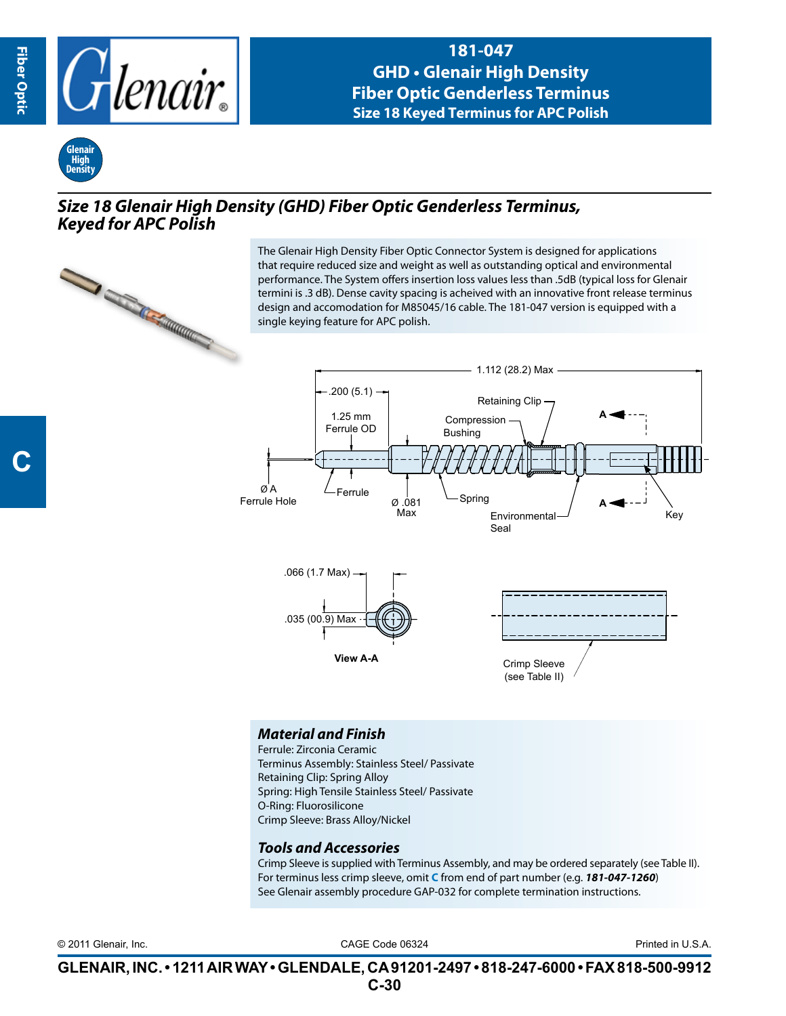

**181-047 GHD • Glenair High Density Fiber Optic Genderless Terminus Size 18 Keyed Terminus for APC Polish**



## *Size 18 Glenair High Density (GHD) Fiber Optic Genderless Terminus, Keyed for APC Polish*



The Glenair High Density Fiber Optic Connector System is designed for applications that require reduced size and weight as well as outstanding optical and environmental performance. The System offers insertion loss values less than .5dB (typical loss for Glenair termini is .3 dB). Dense cavity spacing is acheived with an innovative front release terminus design and accomodation for M85045/16 cable. The 181-047 version is equipped with a single keying feature for APC polish.



## *Material and Finish*

Ferrule: Zirconia Ceramic Terminus Assembly: Stainless Steel/ Passivate Retaining Clip: Spring Alloy Spring: High Tensile Stainless Steel/ Passivate O-Ring: Fluorosilicone Crimp Sleeve: Brass Alloy/Nickel

## *Tools and Accessories*

Crimp Sleeve is supplied with Terminus Assembly, and may be ordered separately (see Table II). For terminus less crimp sleeve, omit **C** from end of part number (e.g. *181-047-1260*) See Glenair assembly procedure GAP-032 for complete termination instructions.

CAGE Code 06324 © 2011 Glenair, Inc. Printed in U.S.A.